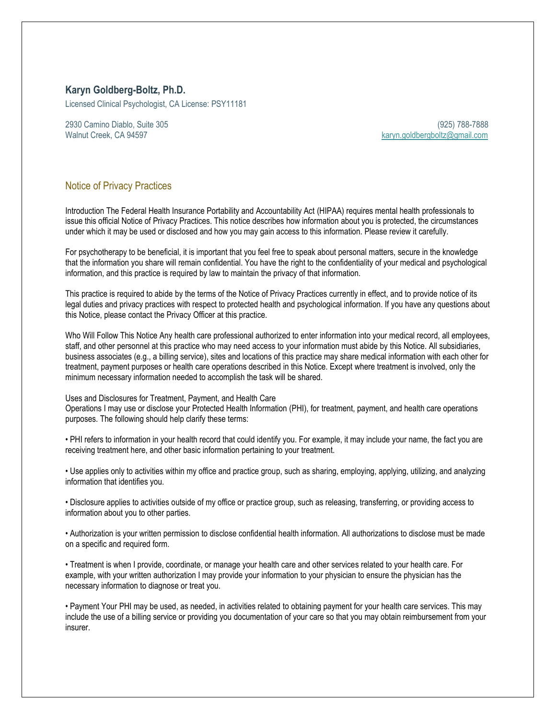## **Karyn Goldberg-Boltz, Ph.D.**

Licensed Clinical Psychologist, CA License: PSY11181

2930 Camino Diablo, Suite 305 (925) 788-7888

Walnut Creek, CA 94597 [karyn.goldbergboltz@gmail.com](mailto:karyn.goldbergboltz@gmail.com)

## Notice of Privacy Practices

Introduction The Federal Health Insurance Portability and Accountability Act (HIPAA) requires mental health professionals to issue this official Notice of Privacy Practices. This notice describes how information about you is protected, the circumstances under which it may be used or disclosed and how you may gain access to this information. Please review it carefully.

For psychotherapy to be beneficial, it is important that you feel free to speak about personal matters, secure in the knowledge that the information you share will remain confidential. You have the right to the confidentiality of your medical and psychological information, and this practice is required by law to maintain the privacy of that information.

This practice is required to abide by the terms of the Notice of Privacy Practices currently in effect, and to provide notice of its legal duties and privacy practices with respect to protected health and psychological information. If you have any questions about this Notice, please contact the Privacy Officer at this practice.

Who Will Follow This Notice Any health care professional authorized to enter information into your medical record, all employees, staff, and other personnel at this practice who may need access to your information must abide by this Notice. All subsidiaries, business associates (e.g., a billing service), sites and locations of this practice may share medical information with each other for treatment, payment purposes or health care operations described in this Notice. Except where treatment is involved, only the minimum necessary information needed to accomplish the task will be shared.

## Uses and Disclosures for Treatment, Payment, and Health Care

Operations I may use or disclose your Protected Health Information (PHI), for treatment, payment, and health care operations purposes. The following should help clarify these terms:

• PHI refers to information in your health record that could identify you. For example, it may include your name, the fact you are receiving treatment here, and other basic information pertaining to your treatment.

• Use applies only to activities within my office and practice group, such as sharing, employing, applying, utilizing, and analyzing information that identifies you.

• Disclosure applies to activities outside of my office or practice group, such as releasing, transferring, or providing access to information about you to other parties.

• Authorization is your written permission to disclose confidential health information. All authorizations to disclose must be made on a specific and required form.

• Treatment is when I provide, coordinate, or manage your health care and other services related to your health care. For example, with your written authorization I may provide your information to your physician to ensure the physician has the necessary information to diagnose or treat you.

• Payment Your PHI may be used, as needed, in activities related to obtaining payment for your health care services. This may include the use of a billing service or providing you documentation of your care so that you may obtain reimbursement from your insurer.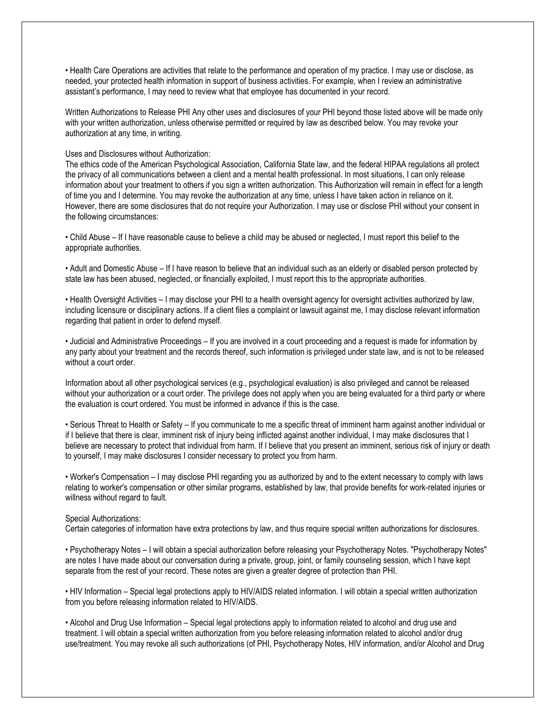• Health Care Operations are activities that relate to the performance and operation of my practice. I may use or disclose, as needed, your protected health information in support of business activities. For example, when I review an administrative assistant's performance, I may need to review what that employee has documented in your record.

Written Authorizations to Release PHI Any other uses and disclosures of your PHI beyond those listed above will be made only with your written authorization, unless otherwise permitted or required by law as described below. You may revoke your authorization at any time, in writing.

Uses and Disclosures without Authorization:

The ethics code of the American Psychological Association, California State law, and the federal HIPAA regulations all protect the privacy of all communications between a client and a mental health professional. In most situations, I can only release information about your treatment to others if you sign a written authorization. This Authorization will remain in effect for a length of time you and I determine. You may revoke the authorization at any time, unless I have taken action in reliance on it. However, there are some disclosures that do not require your Authorization. I may use or disclose PHI without your consent in the following circumstances:

• Child Abuse – If I have reasonable cause to believe a child may be abused or neglected, I must report this belief to the appropriate authorities.

• Adult and Domestic Abuse – If I have reason to believe that an individual such as an elderly or disabled person protected by state law has been abused, neglected, or financially exploited, I must report this to the appropriate authorities.

• Health Oversight Activities – I may disclose your PHI to a health oversight agency for oversight activities authorized by law, including licensure or disciplinary actions. If a client files a complaint or lawsuit against me, I may disclose relevant information regarding that patient in order to defend myself.

• Judicial and Administrative Proceedings – If you are involved in a court proceeding and a request is made for information by any party about your treatment and the records thereof, such information is privileged under state law, and is not to be released without a court order.

Information about all other psychological services (e.g., psychological evaluation) is also privileged and cannot be released without your authorization or a court order. The privilege does not apply when you are being evaluated for a third party or where the evaluation is court ordered. You must be informed in advance if this is the case.

• Serious Threat to Health or Safety – If you communicate to me a specific threat of imminent harm against another individual or if I believe that there is clear, imminent risk of injury being inflicted against another individual, I may make disclosures that I believe are necessary to protect that individual from harm. If I believe that you present an imminent, serious risk of injury or death to yourself, I may make disclosures I consider necessary to protect you from harm.

• Worker's Compensation – I may disclose PHI regarding you as authorized by and to the extent necessary to comply with laws relating to worker's compensation or other similar programs, established by law, that provide benefits for work-related injuries or willness without regard to fault.

## Special Authorizations:

Certain categories of information have extra protections by law, and thus require special written authorizations for disclosures.

• Psychotherapy Notes – I will obtain a special authorization before releasing your Psychotherapy Notes. "Psychotherapy Notes" are notes I have made about our conversation during a private, group, joint, or family counseling session, which I have kept separate from the rest of your record. These notes are given a greater degree of protection than PHI.

• HIV Information – Special legal protections apply to HIV/AIDS related information. I will obtain a special written authorization from you before releasing information related to HIV/AIDS.

• Alcohol and Drug Use Information – Special legal protections apply to information related to alcohol and drug use and treatment. I will obtain a special written authorization from you before releasing information related to alcohol and/or drug use/treatment. You may revoke all such authorizations (of PHI, Psychotherapy Notes, HIV information, and/or Alcohol and Drug